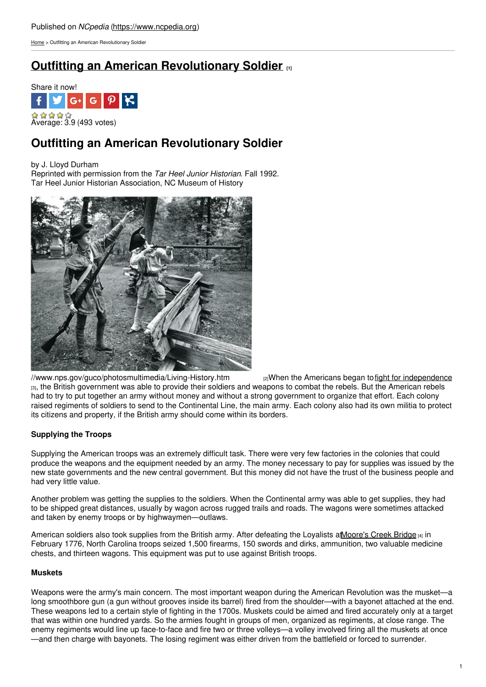[Home](https://www.ncpedia.org/) > Outfitting an American Revolutionary Soldier

# **Outfitting an American [Revolutionary](https://www.ncpedia.org/history/usrevolution/soldiers) Soldier [1]**



# **Outfitting an American Revolutionary Soldier**

by J. Lloyd Durham

Reprinted with permission from the *Tar Heel Junior Historian*. Fall 1992. Tar Heel Junior Historian Association, NC Museum of History



[//www.nps.gov/guco/photosmultimedia/Living-History.htm](https://www.nps.gov/guco/photosmultimedia/Living-History.htm) [2]When the Americans began to fight for [independence](https://ncpedia.org/history/usrevolution) [3], the British government was able to provide their soldiers and weapons to combat the rebels. But the American rebels had to try to put together an army without money and without a strong government to organize that effort. Each colony raised regiments of soldiers to send to the Continental Line, the main army. Each colony also had its own militia to protect its citizens and property, if the British army should come within its borders.

## **Supplying the Troops**

Supplying the American troops was an extremely difficult task. There were very few factories in the colonies that could produce the weapons and the equipment needed by an army. The money necessary to pay for supplies was issued by the new state governments and the new central government. But this money did not have the trust of the business people and had very little value.

Another problem was getting the supplies to the soldiers. When the Continental army was able to get supplies, they had to be shipped great distances, usually by wagon across rugged trails and roads. The wagons were sometimes attacked and taken by enemy troops or by highwaymen—outlaws.

American soldiers also took supplies from the British army. After defeating the Loyalists at Moore's Creek Bridge [4] in February 1776, North Carolina troops seized 1,500 firearms, 150 swords and dirks, ammunition, two valuable medicine chests, and thirteen wagons. This equipment was put to use against British troops.

## **Muskets**

Weapons were the army's main concern. The most important weapon during the American Revolution was the musket—a long smoothbore gun (a gun without grooves inside its barrel) fired from the shoulder—with a bayonet attached at the end. These weapons led to a certain style of fighting in the 1700s. Muskets could be aimed and fired accurately only at a target that was within one hundred yards. So the armies fought in groups of men, organized as regiments, at close range. The enemy regiments would line up face-to-face and fire two or three volleys—a volley involved firing all the muskets at once —and then charge with bayonets. The losing regiment was either driven from the battlefield or forced to surrender.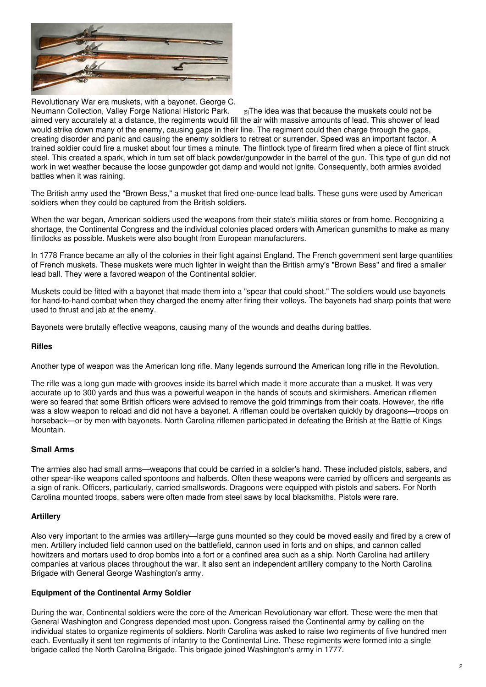

Revolutionary War era muskets, with a bayonet. George C.

Neumann [Collection,](https://www.nps.gov/museum/exhibits/revwar/vafo/vafoconti.html) Valley Forge National Historic Park.  $_{[5]}$ The idea was that because the muskets could not be aimed very accurately at a distance, the regiments would fill the air with massive amounts of lead. This shower of lead would strike down many of the enemy, causing gaps in their line. The regiment could then charge through the gaps, creating disorder and panic and causing the enemy soldiers to retreat or surrender. Speed was an important factor. A trained soldier could fire a musket about four times a minute. The flintlock type of firearm fired when a piece of flint struck steel. This created a spark, which in turn set off black powder/gunpowder in the barrel of the gun. This type of gun did not work in wet weather because the loose gunpowder got damp and would not ignite. Consequently, both armies avoided battles when it was raining.

The British army used the "Brown Bess," a musket that fired one-ounce lead balls. These guns were used by American soldiers when they could be captured from the British soldiers.

When the war began. American soldiers used the weapons from their state's militia stores or from home. Recognizing a shortage, the Continental Congress and the individual colonies placed orders with American gunsmiths to make as many flintlocks as possible. Muskets were also bought from European manufacturers.

In 1778 France became an ally of the colonies in their fight against England. The French government sent large quantities of French muskets. These muskets were much lighter in weight than the British army's "Brown Bess" and fired a smaller lead ball. They were a favored weapon of the Continental soldier.

Muskets could be fitted with a bayonet that made them into a "spear that could shoot." The soldiers would use bayonets for hand-to-hand combat when they charged the enemy after firing their volleys. The bayonets had sharp points that were used to thrust and jab at the enemy.

Bayonets were brutally effective weapons, causing many of the wounds and deaths during battles.

#### **Rifles**

Another type of weapon was the American long rifle. Many legends surround the American long rifle in the Revolution.

The rifle was a long gun made with grooves inside its barrel which made it more accurate than a musket. It was very accurate up to 300 yards and thus was a powerful weapon in the hands of scouts and skirmishers. American riflemen were so feared that some British officers were advised to remove the gold trimmings from their coats. However, the rifle was a slow weapon to reload and did not have a bayonet. A rifleman could be overtaken quickly by dragoons—troops on horseback—or by men with bayonets. North Carolina riflemen participated in defeating the British at the Battle of Kings Mountain.

#### **Small Arms**

The armies also had small arms—weapons that could be carried in a soldier's hand. These included pistols, sabers, and other spear-like weapons called spontoons and halberds. Often these weapons were carried by officers and sergeants as a sign of rank. Officers, particularly, carried smallswords. Dragoons were equipped with pistols and sabers. For North Carolina mounted troops, sabers were often made from steel saws by local blacksmiths. Pistols were rare.

#### **Artillery**

Also very important to the armies was artillery—large guns mounted so they could be moved easily and fired by a crew of men. Artillery included field cannon used on the battlefield, cannon used in forts and on ships, and cannon called howitzers and mortars used to drop bombs into a fort or a confined area such as a ship. North Carolina had artillery companies at various places throughout the war. It also sent an independent artillery company to the North Carolina Brigade with General George Washington's army.

#### **Equipment of the Continental Army Soldier**

During the war, Continental soldiers were the core of the American Revolutionary war effort. These were the men that General Washington and Congress depended most upon. Congress raised the Continental army by calling on the individual states to organize regiments of soldiers. North Carolina was asked to raise two regiments of five hundred men each. Eventually it sent ten regiments of infantry to the Continental Line. These regiments were formed into a single brigade called the North Carolina Brigade. This brigade joined Washington's army in 1777.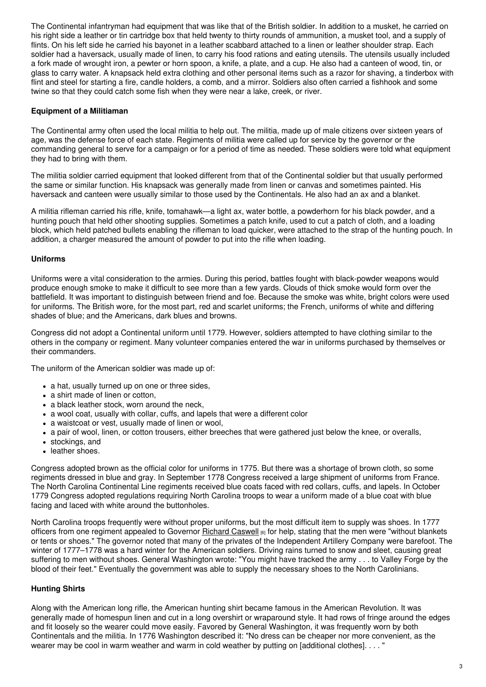The Continental infantryman had equipment that was like that of the British soldier. In addition to a musket, he carried on his right side a leather or tin cartridge box that held twenty to thirty rounds of ammunition, a musket tool, and a supply of flints. On his left side he carried his bayonet in a leather scabbard attached to a linen or leather shoulder strap. Each soldier had a haversack, usually made of linen, to carry his food rations and eating utensils. The utensils usually included a fork made of wrought iron, a pewter or horn spoon, a knife, a plate, and a cup. He also had a canteen of wood, tin, or glass to carry water. A knapsack held extra clothing and other personal items such as a razor for shaving, a tinderbox with flint and steel for starting a fire, candle holders, a comb, and a mirror. Soldiers also often carried a fishhook and some twine so that they could catch some fish when they were near a lake, creek, or river.

#### **Equipment of a Militiaman**

The Continental army often used the local militia to help out. The militia, made up of male citizens over sixteen years of age, was the defense force of each state. Regiments of militia were called up for service by the governor or the commanding general to serve for a campaign or for a period of time as needed. These soldiers were told what equipment they had to bring with them.

The militia soldier carried equipment that looked different from that of the Continental soldier but that usually performed the same or similar function. His knapsack was generally made from linen or canvas and sometimes painted. His haversack and canteen were usually similar to those used by the Continentals. He also had an ax and a blanket.

A militia rifleman carried his rifle, knife, tomahawk—a light ax, water bottle, a powderhorn for his black powder, and a hunting pouch that held other shooting supplies. Sometimes a patch knife, used to cut a patch of cloth, and a loading block, which held patched bullets enabling the rifleman to load quicker, were attached to the strap of the hunting pouch. In addition, a charger measured the amount of powder to put into the rifle when loading.

#### **Uniforms**

Uniforms were a vital consideration to the armies. During this period, battles fought with black-powder weapons would produce enough smoke to make it difficult to see more than a few yards. Clouds of thick smoke would form over the battlefield. It was important to distinguish between friend and foe. Because the smoke was white, bright colors were used for uniforms. The British wore, for the most part, red and scarlet uniforms; the French, uniforms of white and differing shades of blue; and the Americans, dark blues and browns.

Congress did not adopt a Continental uniform until 1779. However, soldiers attempted to have clothing similar to the others in the company or regiment. Many volunteer companies entered the war in uniforms purchased by themselves or their commanders.

The uniform of the American soldier was made up of:

- a hat, usually turned up on one or three sides,
- a shirt made of linen or cotton,
- a black leather stock, worn around the neck,
- a wool coat, usually with collar, cuffs, and lapels that were a different color
- a waistcoat or vest, usually made of linen or wool,
- a pair of wool, linen, or cotton trousers, either breeches that were gathered just below the knee, or overalls,
- stockings, and
- leather shoes.

Congress adopted brown as the official color for uniforms in 1775. But there was a shortage of brown cloth, so some regiments dressed in blue and gray. In September 1778 Congress received a large shipment of uniforms from France. The North Carolina Continental Line regiments received blue coats faced with red collars, cuffs, and lapels. In October 1779 Congress adopted regulations requiring North Carolina troops to wear a uniform made of a blue coat with blue facing and laced with white around the buttonholes.

North Carolina troops frequently were without proper uniforms, but the most difficult item to supply was shoes. In 1777 officers from one regiment appealed to Governor Richard [Caswell](https://www.ncpedia.org/biography/caswell-richard-0) [6] for help, stating that the men were "without blankets or tents or shoes." The governor noted that many of the privates of the Independent Artillery Company were barefoot. The winter of 1777–1778 was a hard winter for the American soldiers. Driving rains turned to snow and sleet, causing great suffering to men without shoes. General Washington wrote: "You might have tracked the army . . . to Valley Forge by the blood of their feet." Eventually the government was able to supply the necessary shoes to the North Carolinians.

### **Hunting Shirts**

Along with the American long rifle, the American hunting shirt became famous in the American Revolution. It was generally made of homespun linen and cut in a long overshirt or wraparound style. It had rows of fringe around the edges and fit loosely so the wearer could move easily. Favored by General Washington, it was frequently worn by both Continentals and the militia. In 1776 Washington described it: "No dress can be cheaper nor more convenient, as the wearer may be cool in warm weather and warm in cold weather by putting on [additional clothes]. . . . "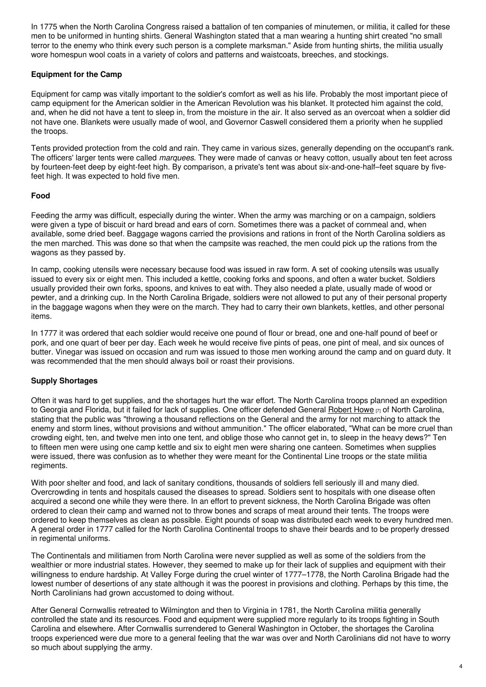In 1775 when the North Carolina Congress raised a battalion of ten companies of minutemen, or militia, it called for these men to be uniformed in hunting shirts. General Washington stated that a man wearing a hunting shirt created "no small terror to the enemy who think every such person is a complete marksman." Aside from hunting shirts, the militia usually wore homespun wool coats in a variety of colors and patterns and waistcoats, breeches, and stockings.

### **Equipment for the Camp**

Equipment for camp was vitally important to the soldier's comfort as well as his life. Probably the most important piece of camp equipment for the American soldier in the American Revolution was his blanket. It protected him against the cold, and, when he did not have a tent to sleep in, from the moisture in the air. It also served as an overcoat when a soldier did not have one. Blankets were usually made of wool, and Governor Caswell considered them a priority when he supplied the troops.

Tents provided protection from the cold and rain. They came in various sizes, generally depending on the occupant's rank. The officers' larger tents were called *marquees*. They were made of canvas or heavy cotton, usually about ten feet across by fourteen-feet deep by eight-feet high. By comparison, a private's tent was about six-and-one-half–feet square by fivefeet high. It was expected to hold five men.

### **Food**

Feeding the army was difficult, especially during the winter. When the army was marching or on a campaign, soldiers were given a type of biscuit or hard bread and ears of corn. Sometimes there was a packet of cornmeal and, when available, some dried beef. Baggage wagons carried the provisions and rations in front of the North Carolina soldiers as the men marched. This was done so that when the campsite was reached, the men could pick up the rations from the wagons as they passed by.

In camp, cooking utensils were necessary because food was issued in raw form. A set of cooking utensils was usually issued to every six or eight men. This included a kettle, cooking forks and spoons, and often a water bucket. Soldiers usually provided their own forks, spoons, and knives to eat with. They also needed a plate, usually made of wood or pewter, and a drinking cup. In the North Carolina Brigade, soldiers were not allowed to put any of their personal property in the baggage wagons when they were on the march. They had to carry their own blankets, kettles, and other personal items.

In 1777 it was ordered that each soldier would receive one pound of flour or bread, one and one-half pound of beef or pork, and one quart of beer per day. Each week he would receive five pints of peas, one pint of meal, and six ounces of butter. Vinegar was issued on occasion and rum was issued to those men working around the camp and on guard duty. It was recommended that the men should always boil or roast their provisions.

### **Supply Shortages**

Often it was hard to get supplies, and the shortages hurt the war effort. The North Carolina troops planned an expedition to Georgia and Florida, but it failed for lack of supplies. One officer defended General [Robert](https://www.ncpedia.org/biography/howe-robert) Howe  $\eta$  of North Carolina, stating that the public was "throwing a thousand reflections on the General and the army for not marching to attack the enemy and storm lines, without provisions and without ammunition." The officer elaborated, "What can be more cruel than crowding eight, ten, and twelve men into one tent, and oblige those who cannot get in, to sleep in the heavy dews?" Ten to fifteen men were using one camp kettle and six to eight men were sharing one canteen. Sometimes when supplies were issued, there was confusion as to whether they were meant for the Continental Line troops or the state militia regiments.

With poor shelter and food, and lack of sanitary conditions, thousands of soldiers fell seriously ill and many died. Overcrowding in tents and hospitals caused the diseases to spread. Soldiers sent to hospitals with one disease often acquired a second one while they were there. In an effort to prevent sickness, the North Carolina Brigade was often ordered to clean their camp and warned not to throw bones and scraps of meat around their tents. The troops were ordered to keep themselves as clean as possible. Eight pounds of soap was distributed each week to every hundred men. A general order in 1777 called for the North Carolina Continental troops to shave their beards and to be properly dressed in regimental uniforms.

The Continentals and militiamen from North Carolina were never supplied as well as some of the soldiers from the wealthier or more industrial states. However, they seemed to make up for their lack of supplies and equipment with their willingness to endure hardship. At Valley Forge during the cruel winter of 1777–1778, the North Carolina Brigade had the lowest number of desertions of any state although it was the poorest in provisions and clothing. Perhaps by this time, the North Carolinians had grown accustomed to doing without.

After General Cornwallis retreated to Wilmington and then to Virginia in 1781, the North Carolina militia generally controlled the state and its resources. Food and equipment were supplied more regularly to its troops fighting in South Carolina and elsewhere. After Cornwallis surrendered to General Washington in October, the shortages the Carolina troops experienced were due more to a general feeling that the war was over and North Carolinians did not have to worry so much about supplying the army.